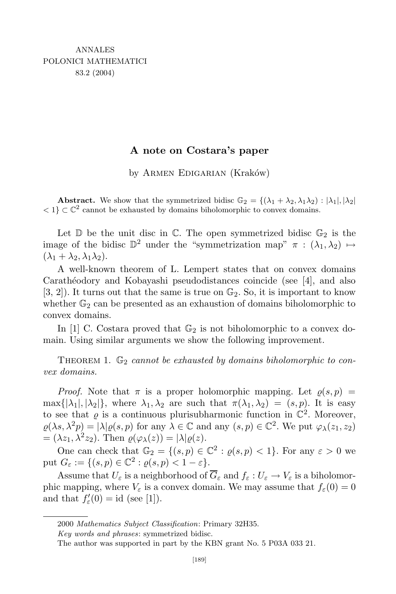## **A note on Costara's paper**

by ARMEN EDIGARIAN (Kraków)

**Abstract.** We show that the symmetrized bidisc  $\mathbb{G}_2 = \{(\lambda_1 + \lambda_2, \lambda_1\lambda_2) : |\lambda_1|, |\lambda_2|$  $<$  1}  $\subset$   $\mathbb{C}^2$  cannot be exhausted by domains biholomorphic to convex domains.

Let  $\mathbb D$  be the unit disc in  $\mathbb C$ . The open symmetrized bidisc  $\mathbb G_2$  is the image of the bidisc  $\mathbb{D}^2$  under the "symmetrization map"  $\pi$  :  $(\lambda_1, \lambda_2) \mapsto$  $(\lambda_1 + \lambda_2, \lambda_1 \lambda_2).$ 

A well-known theorem of L. Lempert states that on convex domains Carathéodory and Kobayashi pseudodistances coincide (see [4], and also  $[3, 2]$ . It turns out that the same is true on  $\mathbb{G}_2$ . So, it is important to know whether  $\mathbb{G}_2$  can be presented as an exhaustion of domains biholomorphic to convex domains.

In [1] C. Costara proved that  $\mathbb{G}_2$  is not biholomorphic to a convex domain. Using similar arguments we show the following improvement.

THEOREM 1.  $\mathbb{G}_2$  *cannot* be exhausted by domains biholomorphic to con*vex domains.*

*Proof.* Note that  $\pi$  is a proper holomorphic mapping. Let  $\varrho(s,p)$  =  $\max\{|\lambda_1|, |\lambda_2|\}$ , where  $\lambda_1, \lambda_2$  are such that  $\pi(\lambda_1, \lambda_2) = (s, p)$ . It is easy to see that  $\varrho$  is a continuous plurisubharmonic function in  $\mathbb{C}^2$ . Moreover,  $\varrho(\lambda s, \lambda^2 p) = |\lambda| \varrho(s, p)$  for any  $\lambda \in \mathbb{C}$  and any  $(s, p) \in \mathbb{C}^2$ . We put  $\varphi_{\lambda}(z_1, z_2)$  $= (\lambda z_1, \lambda^2 z_2)$ . Then  $\varrho(\varphi_\lambda(z)) = |\lambda| \varrho(z)$ .

One can check that  $\mathbb{G}_2 = \{(s, p) \in \mathbb{C}^2 : \varrho(s, p) < 1\}$ . For any  $\varepsilon > 0$  we  $\text{put } G_{\varepsilon} := \{ (s, p) \in \mathbb{C}^2 : \varrho(s, p) < 1 - \varepsilon \}.$ 

Assume that  $U_{\varepsilon}$  is a neighborhood of  $\overline{G}_{\varepsilon}$  and  $f_{\varepsilon}: U_{\varepsilon} \to V_{\varepsilon}$  is a biholomorphic mapping, where  $V_{\varepsilon}$  is a convex domain. We may assume that  $f_{\varepsilon}(0) = 0$ and that  $f'_{\varepsilon}(0) = id$  (see [1]).

<sup>2000</sup> *Mathematics Subject Classification*: Primary 32H35.

*Key words and phrases*: symmetrized bidisc.

The author was supported in part by the KBN grant No. 5 P03A 033 21.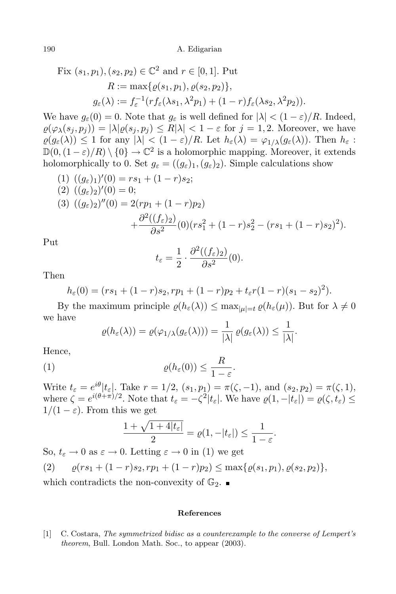Fix 
$$
(s_1, p_1)
$$
,  $(s_2, p_2) \in \mathbb{C}^2$  and  $r \in [0, 1]$ . Put  
\n
$$
R := \max\{ \varrho(s_1, p_1), \varrho(s_2, p_2) \},
$$
\n
$$
g_{\varepsilon}(\lambda) := f_{\varepsilon}^{-1}(rf_{\varepsilon}(\lambda s_1, \lambda^2 p_1) + (1 - r)f_{\varepsilon}(\lambda s_2, \lambda^2 p_2)).
$$

We have  $g_{\varepsilon}(0) = 0$ . Note that  $g_{\varepsilon}$  is well defined for  $|\lambda| < (1 - \varepsilon)/R$ . Indeed,  $\varrho(\varphi_{\lambda}(s_i, p_i)) = |\lambda| \varrho(s_i, p_i) \le R|\lambda| < 1 - \varepsilon$  for  $j = 1, 2$ . Moreover, we have  $\varrho(g_{\varepsilon}(\lambda)) \leq 1$  for any  $|\lambda| < (1-\varepsilon)/R$ . Let  $h_{\varepsilon}(\lambda) = \varphi_{1/\lambda}(g_{\varepsilon}(\lambda))$ . Then  $h_{\varepsilon}$ :  $\mathbb{D}(0, (1-\varepsilon)/R) \setminus \{0\} \to \mathbb{C}^2$  is a holomorphic mapping. Moreover, it extends holomorphically to 0. Set  $g_{\varepsilon} = ((g_{\varepsilon})_1, (g_{\varepsilon})_2)$ . Simple calculations show

$$
(1) ((g_{\varepsilon})_1)'(0) = rs_1 + (1 - r)s_2;
$$
  
\n
$$
(2) ((g_{\varepsilon})_2)'(0) = 0;
$$
  
\n
$$
(3) ((g_{\varepsilon})_2)''(0) = 2(rp_1 + (1 - r)p_2)
$$
  
\n
$$
+ \frac{\partial^2 ((f_{\varepsilon})_2)}{\partial s^2} (0)(rs_1^2 + (1 - r)s_2^2 - (rs_1 + (1 - r)s_2)^2).
$$

Put

$$
t_{\varepsilon} = \frac{1}{2} \cdot \frac{\partial^2 ((f_{\varepsilon})_2)}{\partial s^2}(0).
$$

Then

$$
h_{\varepsilon}(0) = (rs_1 + (1-r)s_2, rp_1 + (1-r)p_2 + t_{\varepsilon}r(1-r)(s_1 - s_2)^2).
$$

By the maximum principle  $\varrho(h_{\varepsilon}(\lambda)) \leq \max_{|\mu|=t} \varrho(h_{\varepsilon}(\mu))$ . But for  $\lambda \neq 0$ we have

$$
\varrho(h_{\varepsilon}(\lambda)) = \varrho(\varphi_{1/\lambda}(g_{\varepsilon}(\lambda))) = \frac{1}{|\lambda|} \varrho(g_{\varepsilon}(\lambda)) \leq \frac{1}{|\lambda|}.
$$

Hence,

(1) 
$$
\varrho(h_{\varepsilon}(0)) \leq \frac{R}{1-\varepsilon}.
$$

Write  $t_{\varepsilon} = e^{i\theta} |t_{\varepsilon}|$ . Take  $r = 1/2$ ,  $(s_1, p_1) = \pi(\zeta, -1)$ , and  $(s_2, p_2) = \pi(\zeta, 1)$ , where  $\zeta = e^{i(\theta + \pi)/2}$ . Note that  $t_{\varepsilon} = -\zeta^2 |t_{\varepsilon}|$ . We have  $\varrho(1, -|t_{\varepsilon}|) = \varrho(\zeta, t_{\varepsilon}) \le$  $1/(1 - \varepsilon)$ . From this we get

$$
\frac{1+\sqrt{1+4|t_{\varepsilon}|}}{2}=\varrho(1,-|t_{\varepsilon}|)\leq \frac{1}{1-\varepsilon}.
$$

So,  $t_{\varepsilon} \to 0$  as  $\varepsilon \to 0$ . Letting  $\varepsilon \to 0$  in (1) we get

$$
(2) \qquad \varrho(rs_1 + (1-r)s_2, rp_1 + (1-r)p_2) \leq \max\{\varrho(s_1, p_1), \varrho(s_2, p_2)\},
$$

which contradicts the non-convexity of  $\mathbb{G}_2$ .

## **References**

[1] C. Costara, *The symmetrized bidisc as a counterexample to the converse of Lempert's theorem*, Bull. London Math. Soc., to appear (2003).